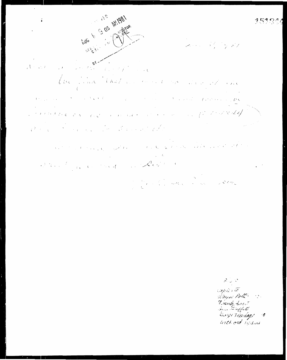$\cdot$ S 05 M1981 1831  $\ddot{\bullet}$  $\hat{\mathcal{J}}$  $\partial_{U}$ ergy, the State of the St  $\chi$  ,  $\chi$  ,  $\chi$  $\sim$   $^{\prime}$  $\overline{\phantom{a}}$ Club Finne (Ration)  $\label{eq:Ricci} \mathcal{E}(\phi) = \psi_{\mathcal{A}} - \int_{\mathbb{R}^d} \psi_{\mathcal{A}}^{\alpha} \mathbf{S}^{\alpha} = - \frac{1}{4 \pi \epsilon^2} \mathbf{g}^{\alpha} \mathbf{g}^{\alpha}.$  $\sqrt{2}$  $\label{eq:1} \hat{\mathbf{X}}_{\text{max}} = \hat{\mathbf{X}}_{\text{max}} + \hat{\mathbf{X}}_{\text{max}} + \hat{\mathbf{X}}_{\text{max}}$  $1.6\, \mu$  m  $\sim 10^{-10}$  ,  $\lambda_{\rm{max}}$  ,  $\lambda_{\rm{max}}$  ,  $\lambda_{\rm{max}}$  ,  $\lambda_{\rm{max}}$  $\label{eq:V} V_{\alpha\beta}(\varphi) = \frac{1}{2} \left[ \frac{1}{2} \left( \frac{\partial \varphi}{\partial \varphi} \right)^2 + \frac{1}{2} \left( \frac{\partial \varphi}{\partial \varphi} \right)^2 + \frac{1}{2} \left( \frac{\partial \varphi}{\partial \varphi} \right)^2 + \frac{1}{2} \left( \frac{\partial \varphi}{\partial \varphi} \right)^2 + \frac{1}{2} \left( \frac{\partial \varphi}{\partial \varphi} \right)^2 + \frac{1}{2} \left( \frac{\partial \varphi}{\partial \varphi} \right)^2 + \frac{1}{2} \left( \frac{\partial \varphi$ だく 8. st t.f  $\label{eq:2} \hat{r} = \hat{r} - \hat{r} - \hat{r} + \hat{r} + \hat{r} + \hat{r} + \hat{r} \hat{q}$  $\mathcal{F}^{\mathcal{F}}$  $\varepsilon^2-\gamma$  $\chi^{\rm (eff)}$  $\mathcal{A}$  $\hat{\mathcal{O}}$  $\frac{1}{2}$  .  $i\in I$  .  $\mathcal{L}^{\mathcal{L}}$  $\mathcal{O}(\mathcal{F}(\mathcal{A}))$ a Carlos C  $\chi^{1/2}$  $\mathcal{F}(\mathcal{X})$  , where  $\mathcal{F}(\mathcal{X})$ marine alle care all the  $\label{eq:Gauss} C^{\alpha\beta} \propto C_{\alpha} C_{\alpha\beta} + \sqrt{2} \epsilon^2 \, T \, \epsilon$  $t_{\rm max}(\lambda_{\rm max})$  $\chi_{\rm{max}}=2$ Plant for Considering Region  $\sim$   $-$  t **CONTINUES** 

 $\mathcal{S}_{\leq w} \otimes$  $exp\hat{\alpha}$ ,  $\tilde{\alpha}$ Derne Polt ... Frank Frost<br>Sem Frifith Diorgo Federica go 10 little ord 15,844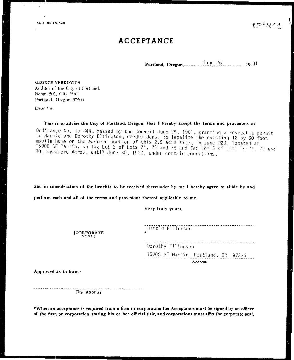### ACCEPTANCE

**GEORGE YERKOVICH** Auditor of the City of Portland. Room 202, City Hall Portland, Oregon 97204

Dear Sir:

This is to advise the City of Portland, Oregon, that I hereby accept the terms and provisions of

Ordinance No. 151844, passed by the Council June 25, 1981, granting a revocable permit to Harold and Dorothy Ellingson, deedholders, to legalize the existing 12 by 60 foot mobile home on the eastern portion of this 2.5 acre site, in zone R20, located at 15908 SE Martin, on Tax Lot 2 of Lots 74, 75 and 78 and Tax Lot 5 of Lots 75-77, 79 and 80, Sycamore Acres, until June 30, 1982, under certain conditions,

and in consideration of the benefits to be received thereunder by me I hereby agree to abide by and

perform each and all of the terms and provisions thereof applicable to me.

Very truly yours,

[CORPORATE<br>SEAL]

Harold Ellingsen ------------------------Dorothy Ellingson 15908 SE Martin, Portland, OR 97236 Address

Approved as to form:

-----------------City Attorney

\*When an acceptance is required from a firm or corporation the Acceptance must be signed by an officer of the firm or corporation stating his or her official title, and corporations must affix the corporate seal.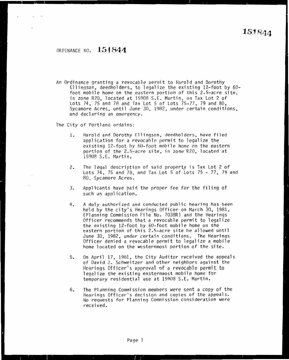### OROINANCE NO. **l51841**

An Ordinance granting a revocable permit to Harold and Dorothy Ellingson, deedholders, to legalize the existing 12-foot by 60 foot mobile home on the eastern portion of this 2.5-acre site, in zone R20, located at 15908 S.E. Martin, on Tax Lot 2 of Lots 74, 75 and 78 and Tax Lot 5 of Lots 75-77, 79 and 80, Sycamore Acres, until June 30, 1982, under certain conditions, and declaring an emergency.

The City of Portland ordains:

- 1. Harold and Dorothy Ellingson, deedholders, have filed application for a revocable permit to legalize the existing 12-foot by 60-foot mobile home on the eastern portion of the 2.5-acre site, in zone R20, located at i5908 S.E. Martin,
- 2. The legal description of said property is Tax Lot 2 of Lots 74, 75 and 78, and Tax Lot 5 of Lots 75 - 77, 79 and RO, Sycamore Acres.
- 3. Applicants have paid the proper fee for the filing of such an application.
- 4. A duly authorized and conducted public hearing has been held by the city's Hearings Officer on March 30, 1981, (Planning Commission File No. 7038R) and the Hearings Officer recommends that a revocable permit to legalize the existing 12-foot by 60-foot mobile home on the eastern portion of this 2.5-acre site he allowed until June 30, 1982, under certain conditions. The Hearings Officer denied a revocable permit to legalize a mobile home located on the westernmost portion of the site.
- 5. On April 17, 1981, the City Auditor received the appeals of David J. Schweitzer and other neighbors against the Hearings Officer's approval of a revocable permit to legalize the existing easternmost mobile home for temporary residential use at 15908 S.E. Martin.
- 6. The Planning Commission members were sent a copy of the Hearings Officer's decision and copies of the appeals. No requests for Planning Commission consideration were received.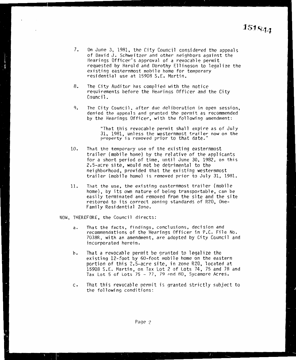- 7. On June 3, 1981, the City Council considered the appeals of David J. Schweitzer and other neiqhbors aqainst the Hearings Officer's approval of a revocable permit requested by Harold and Dorothy Ellingson to legalize the existing easternmost mobile home for temporary residential use at 15908 S.E. Martin.
- 8. The City Auditor has complied with the notice requirements before the Hearings Officer and the City Council.
- 9. The City Council, after due deliberation in open session, denied the appeals and granted the permit as recommended by the Hearings Officer, with the following amendment:

"That this revocable permit shall expire as of July 31, 1981, unless the westernmost trailer now on the property is removed prior to that date."

- 10. That the temporary use of the existing easternmost trailer (mobile home) by the relative of the applicants for a short period of time, until June 30, 1982, on this 2.5-acre site, would not be detrimental to the neighborhood, provided that the existing westernmost trailer (mobile home} is removed prior to July 31, 1981.
- 11. *That* the use, the existing easternmost trailer {mobile home), by its own nature of being transportable, can be easily terminated and removed from the site and the site restored to its correct zoning standards of R20, One-Family Residential Zone.

NOW, THEREFORE, the Council directs:

- a. That the facts, findings, conclusions, decision and recommendations of the Hearings Officer in P.C. File No. 7038R, with an amendment, are adopted by City Council and incorporated herein.
- b. That a revocable permit be granted to legalize the existing 12-foot by 60-foot mobile home on the eastern portion of this 2.5-acre site, in zone R20, located at 15908 S.E. Martin, on Tax Lot 2 of Lots 74, 75 and 78 and Tax Lot 5 of Lots  $75 - 77$ ,  $79$  and 80, Sycamore Acres.
- c. That this revocable permit is granted strictly subject to the following conditions: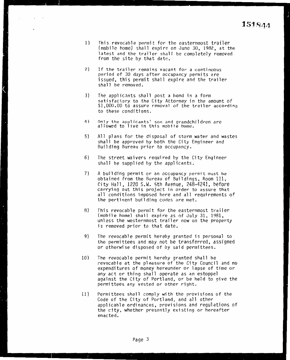- 1) This revocable permit for the easternmost trailer (mobile home) shall expire on June 30, 1982, at the latest and the trailer shall be completely removed from the site by that date.
- 2) If the trailer remains vacant for a continuous period of 30 days after occupancy permits are issued, this permit shall expire and the trailer shall be removed.
- 3) The applicants shall post a bond in a form<br>satisfactory to the City Attorney in the amount of \$1,000.00 to assure removal of the trailer according to these conditions.
- 4) Only the applicants' son and grandchildren are allowed to live in this mobile home.
- 5) All plans for the disposal of storm water and wastes shall be approved by both the City Engineer and Building Bureau prior to occupancy.
- 6) The street waivers required by the City Engineer shall be supplied by the applicants.
- 7) A building permit or an occupancy permit must be obtained from the Bureau of Buildings, Room 111, City Hall, 1220 S.W. 5th Avenue, 248-4241, before carrying out this project in order to assure that all conditions imposed here and all requirements of the pertinent building codes are met.
- 8) This revocable permit for the easternmost trailer (mobile home) shall expire as of July 31, 1981, unless the westernmost trailer now on the property is removed prior to that date.
- 9) The revocable permit hereby granted is personal to the perrnittees and may not be transferred, assigned or otherwise disposed of by said permittees.
- 10) The revocable permit hereby granted shall be revocable at the pleasure of the City Council and no expenditures of money hereunder or lapse of time or any act or thing shall operate as an estoppel against the City of Portland, or be held to give the permittees any vested or other right.
- 11) Permittees shall comply with the provisions of the Code of the City of Portland, and all other applicable ordinances, provisions and regulations of the city, whether presently existing or hereafter enacted.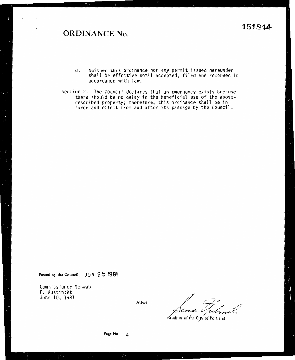## **ORDINANCE No.**

- Neither this ordinance nor any permit issued hereunder<br>shall be effective until accepted, filed and recorded in  $\mathsf{d}$ . accordance with law.
- Section 2. The Council declares that an emergency exists because there should be no delay in the beneficial use of the aboveribed property; therefore, this ordinance shall be in ce and effect from and after its passage by the Council. force and effect from and after its passage by the Council.

Passed by the Council,  $JUN 2 5 1981$ 

Commissioner Schwab F. Austin:ht June 10, 1981

Attest: **Attest:** *Attest: Attest: Attest: Auditor of the City of Portland*